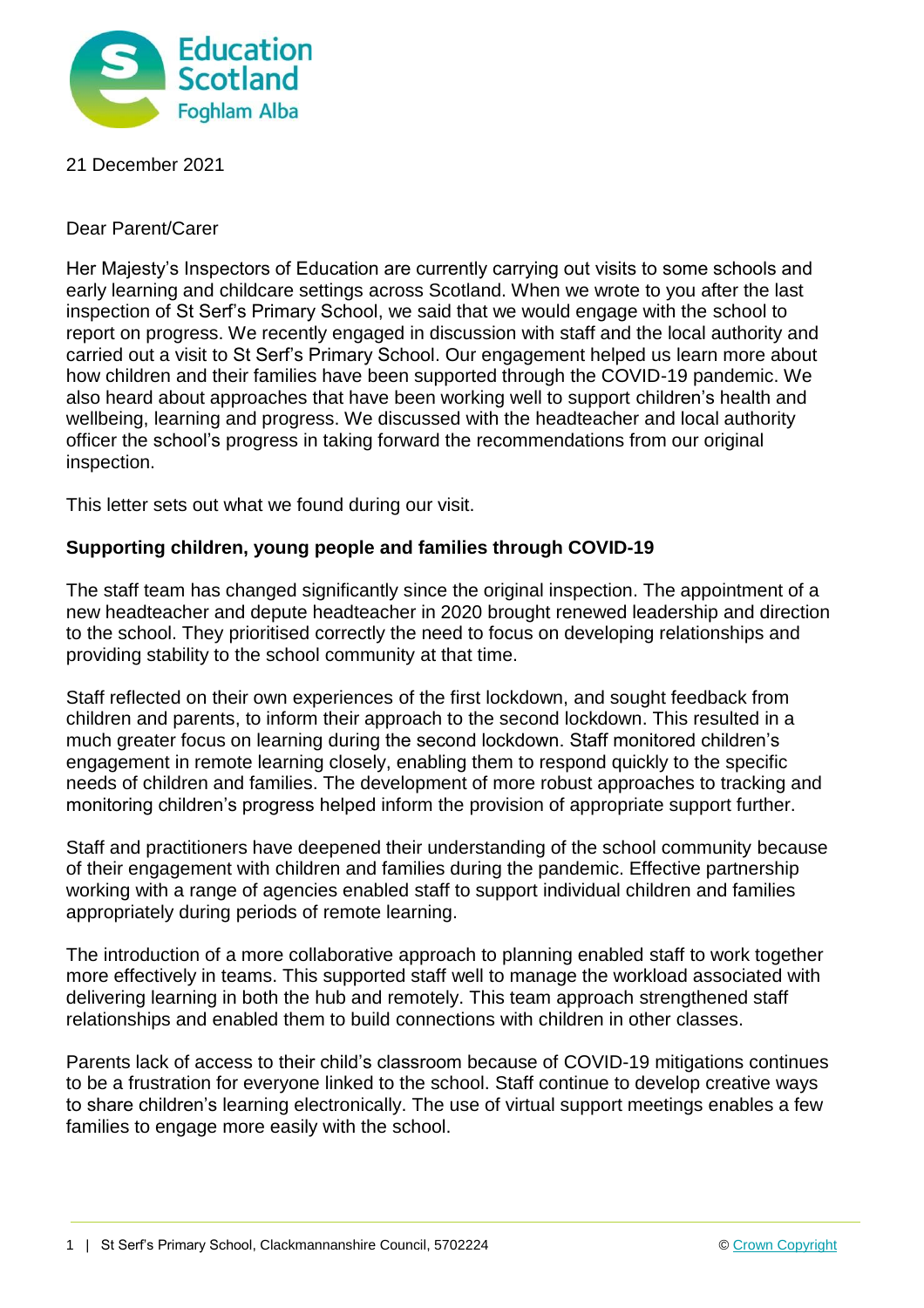

## 21 December 2021

## Dear Parent/Carer

Her Majesty's Inspectors of Education are currently carrying out visits to some schools and early learning and childcare settings across Scotland. When we wrote to you after the last inspection of St Serf's Primary School, we said that we would engage with the school to report on progress. We recently engaged in discussion with staff and the local authority and carried out a visit to St Serf's Primary School. Our engagement helped us learn more about how children and their families have been supported through the COVID-19 pandemic. We also heard about approaches that have been working well to support children's health and wellbeing, learning and progress. We discussed with the headteacher and local authority officer the school's progress in taking forward the recommendations from our original inspection.

This letter sets out what we found during our visit.

# **Supporting children, young people and families through COVID-19**

The staff team has changed significantly since the original inspection. The appointment of a new headteacher and depute headteacher in 2020 brought renewed leadership and direction to the school. They prioritised correctly the need to focus on developing relationships and providing stability to the school community at that time.

Staff reflected on their own experiences of the first lockdown, and sought feedback from children and parents, to inform their approach to the second lockdown. This resulted in a much greater focus on learning during the second lockdown. Staff monitored children's engagement in remote learning closely, enabling them to respond quickly to the specific needs of children and families. The development of more robust approaches to tracking and monitoring children's progress helped inform the provision of appropriate support further.

Staff and practitioners have deepened their understanding of the school community because of their engagement with children and families during the pandemic. Effective partnership working with a range of agencies enabled staff to support individual children and families appropriately during periods of remote learning.

The introduction of a more collaborative approach to planning enabled staff to work together more effectively in teams. This supported staff well to manage the workload associated with delivering learning in both the hub and remotely. This team approach strengthened staff relationships and enabled them to build connections with children in other classes.

Parents lack of access to their child's classroom because of COVID-19 mitigations continues to be a frustration for everyone linked to the school. Staff continue to develop creative ways to share children's learning electronically. The use of virtual support meetings enables a few families to engage more easily with the school.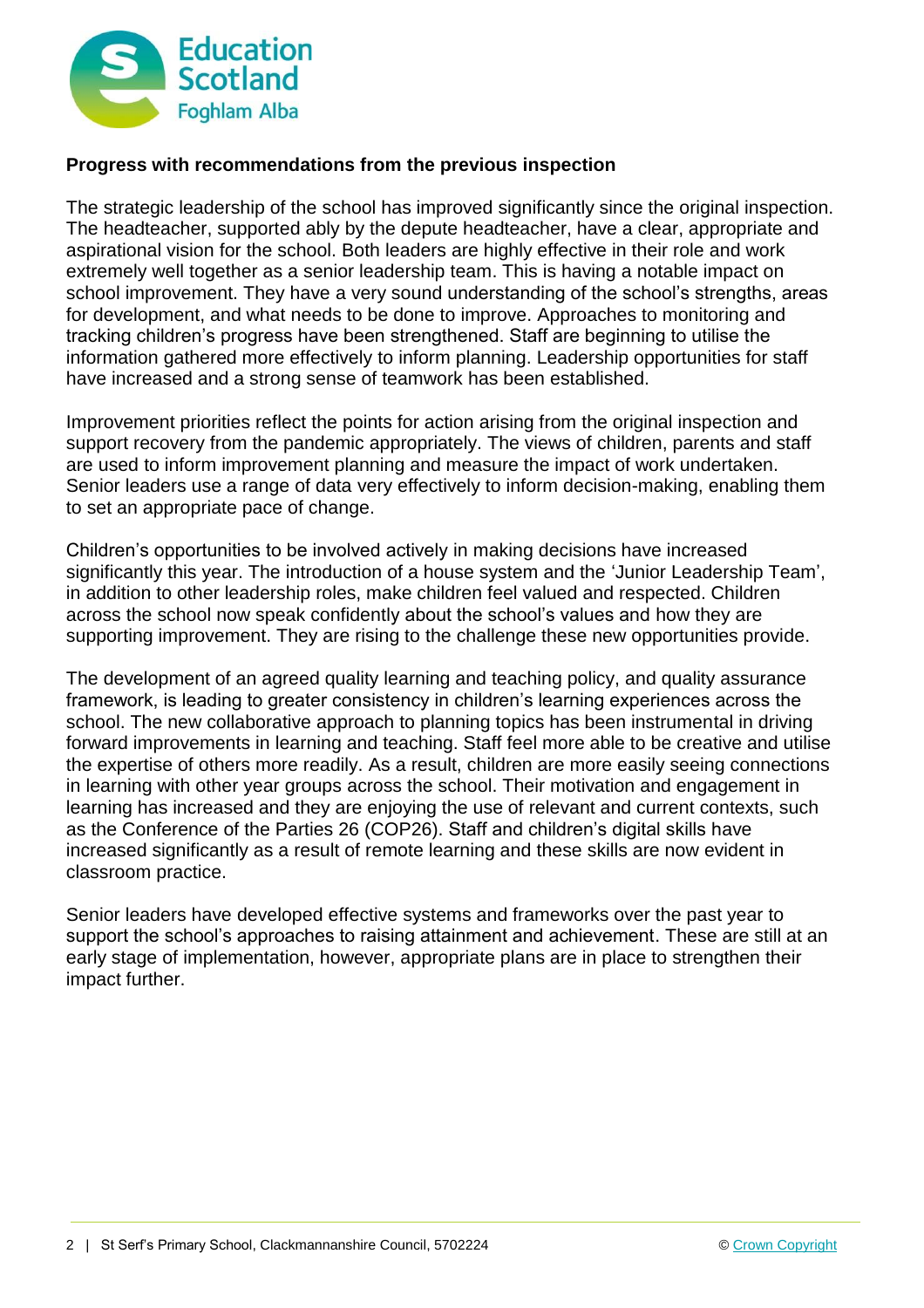

## **Progress with recommendations from the previous inspection**

The strategic leadership of the school has improved significantly since the original inspection. The headteacher, supported ably by the depute headteacher, have a clear, appropriate and aspirational vision for the school. Both leaders are highly effective in their role and work extremely well together as a senior leadership team. This is having a notable impact on school improvement. They have a very sound understanding of the school's strengths, areas for development, and what needs to be done to improve. Approaches to monitoring and tracking children's progress have been strengthened. Staff are beginning to utilise the information gathered more effectively to inform planning. Leadership opportunities for staff have increased and a strong sense of teamwork has been established.

Improvement priorities reflect the points for action arising from the original inspection and support recovery from the pandemic appropriately. The views of children, parents and staff are used to inform improvement planning and measure the impact of work undertaken. Senior leaders use a range of data very effectively to inform decision-making, enabling them to set an appropriate pace of change.

Children's opportunities to be involved actively in making decisions have increased significantly this year. The introduction of a house system and the 'Junior Leadership Team', in addition to other leadership roles, make children feel valued and respected. Children across the school now speak confidently about the school's values and how they are supporting improvement. They are rising to the challenge these new opportunities provide.

The development of an agreed quality learning and teaching policy, and quality assurance framework, is leading to greater consistency in children's learning experiences across the school. The new collaborative approach to planning topics has been instrumental in driving forward improvements in learning and teaching. Staff feel more able to be creative and utilise the expertise of others more readily. As a result, children are more easily seeing connections in learning with other year groups across the school. Their motivation and engagement in learning has increased and they are enjoying the use of relevant and current contexts, such as the Conference of the Parties 26 (COP26). Staff and children's digital skills have increased significantly as a result of remote learning and these skills are now evident in classroom practice.

Senior leaders have developed effective systems and frameworks over the past year to support the school's approaches to raising attainment and achievement. These are still at an early stage of implementation, however, appropriate plans are in place to strengthen their impact further.